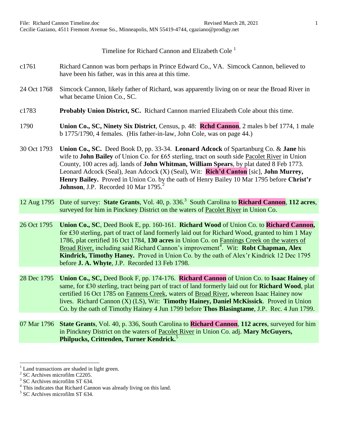Timeline for Richard Cannon and Elizabeth Cole<sup>1</sup>

- c1761 Richard Cannon was born perhaps in Prince Edward Co., VA. Simcock Cannon, believed to have been his father, was in this area at this time.
- 24 Oct 1768 Simcock Cannon, likely father of Richard, was apparently living on or near the Broad River in what became Union Co., SC.
- c1783 **Probably Union District, SC.** Richard Cannon married Elizabeth Cole about this time.
- 1790 **Union Co., SC, Ninety Six District**, Census, p. 48: **Rchd Cannon**, 2 males b bef 1774, 1 male b 1775/1790, 4 females. (His father-in-law, John Cole, was on page 44.)
- 30 Oct 1793 **Union Co., SC.** Deed Book D, pp. 33-34. **Leonard Adcock** of Spartanburg Co. & **Jane** his wife to **John Bailey** of Union Co. for £65 sterling, tract on south side Pacolet River in Union County, 100 acres adj. lands of **John Whitman, William Spears**, by plat dated 8 Feb 1773. Leonard Adcock (Seal), Jean Adcock (X) (Seal), Wit: **Rich'd Canton** [sic], **John Murrey, Henry Bailey.** Proved in Union Co. by the oath of Henry Bailey 10 Mar 1795 before **Christ'r Johnson**, J.P. Recorded 10 Mar 1795.<sup>2</sup>
- 12 Aug 1795 Date of survey: **State Grants**, Vol. 40, p. 336.<sup>3</sup> South Carolina to **Richard Cannon**, **112 acres**, surveyed for him in Pinckney District on the waters of Pacolet River in Union Co.
- 26 Oct 1795 **Union Co., SC**, Deed Book E, pp. 160-161. **Richard Wood** of Union Co. to **Richard Cannon,**  for ₤30 sterling, part of tract of land formerly laid out for Richard Wood, granted to him 1 May 1786, plat certified 16 Oct 1784, **130 acres** in Union Co. on Fannings Creek on the waters of Broad River, including said Richard Cannon's improvement<sup>4</sup>. Wit: Robt Chapman, Alex **Kindrick, Timothy Haney.** Proved in Union Co. by the oath of Alex'r Kindrick 12 Dec 1795 before **J. A. Whyte**, J.P. Recorded 13 Feb 1798.
- 28 Dec 1795 **Union Co., SC,** Deed Book F, pp. 174-176. **Richard Cannon** of Union Co. to **Isaac Hainey** of same, for **£30** sterling, tract being part of tract of land formerly laid out for **Richard Wood**, plat certified 16 Oct 1785 on Fannens Creek, waters of Broad River, whereon Isaac Hainey now lives. Richard Cannon (X) (LS), Wit: **Timothy Hainey, Daniel McKissick**. Proved in Union Co. by the oath of Timothy Hainey 4 Jun 1799 before **Thos Blasingtame**, J.P. Rec. 4 Jun 1799.
- 07 Mar 1796 **State Grants**, Vol. 40, p. 336, South Carolina to **Richard Cannon**, **112 acres**, surveyed for him in Pinckney District on the waters of Pacolet River in Union Co. adj. **Mary McGuyers, Philpucks, Crittenden, Turner Kendrick.**<sup>5</sup>

Land transactions are shaded in light green.

<sup>2</sup> SC Archives microfilm C2205.

<sup>3</sup> SC Archives microfilm ST 634.

<sup>&</sup>lt;sup>4</sup> This indicates that Richard Cannon was already living on this land.

<sup>&</sup>lt;sup>5</sup> SC Archives microfilm ST 634.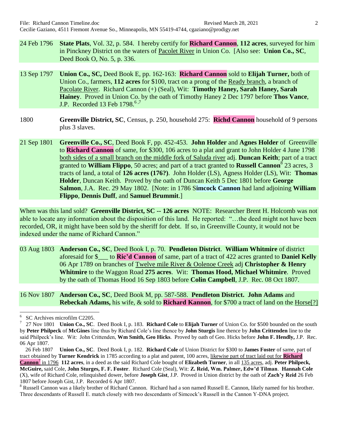- 24 Feb 1796 **State Plats**, Vol. 32, p. 584. I hereby certify for **Richard Cannon**, **112 acres**, surveyed for him in Pinckney District on the waters of Pacolet River in Union Co. [Also see: **Union Co., SC**, Deed Book O, No. 5, p. 336.
- 13 Sep 1797 **Union Co., SC,** Deed Book E, pp. 162-163: **Richard Cannon** sold to **Elijah Turner,** both of Union Co., farmers, **112 acres** for \$100, tract on a prong of the Ready branch, a branch of Pacolate River. Richard Cannon (+) (Seal), Wit: **Timothy Haney, Sarah Haney, Sarah Hainey**. Proved in Union Co. by the oath of Timothy Haney 2 Dec 1797 before **Thos Vance**, J.P. Recorded 13 Feb  $1798.^{6,7}$
- 1800 **Greenville District, SC**, Census, p. 250, household 275: **Richd Cannon** household of 9 persons plus 3 slaves.
- 21 Sep 1801 **Greenville Co., SC**, Deed Book F, pp. 452-453. **John Holder** and **Agnes Holder** of Greenville to **Richard Cannon** of same, for \$300, 106 acres to a plat and grant to John Holder 4 June 1798 both sides of a small branch on the middle fork of Saluda river adj. **Duncan Keith**; part of a tract granted to **William Flippo**, 50 acres; and part of a tract granted to **Russell Cannon**<sup>8</sup> 23 acres, 3 tracts of land, a total of **126 acres (176?)**. John Holder (LS), Agness Holder (LS), Wit: **Thomas Holder**, Duncan Keith. Proved by the oath of Duncan Keith 5 Dec 1801 before **George Salmon**, J.A. Rec. 29 May 1802. [Note: in 1786 S**imcock Cannon** had land adjoining **William Flippo**, **Dennis Duff**, and **Samuel Brummit**.]

When was this land sold? **Greenville District, SC -- 126 acres** NOTE: Researcher Brent H. Holcomb was not able to locate any information about the disposition of this land. He reported: "…the deed might not have been recorded, OR, it might have been sold by the sheriff for debt. If so, in Greenville County, it would not be indexed under the name of Richard Cannon."

- 03 Aug 1803 **Anderson Co., SC**, Deed Book I, p. 70. **Pendleton District**. **William Whitmire** of district aforesaid for \$\_\_\_ to **Ric'd Cannon** of same, part of a tract of 422 acres granted to **Daniel Kelly** 06 Apr 1789 on branches of Twelve mile River & Oolenoe Creek adj **Christopher & Henry Whitmire** to the Waggon Road **275 acres**. Wit: **Thomas Hood, Michael Whitmire**. Proved by the oath of Thomas Hood 16 Sep 1803 before **Colin Campbell**, J.P. Rec. 08 Oct 1807.
- 16 Nov 1807 **Anderson Co., SC**, Deed Book M, pp. 587-588. **Pendleton District. John Adams** and **Rebeckah Adams,** his wife, & sold to **Richard Kannon**, for \$700 a tract of land on the Horse[?]

<sup>6</sup> SC Archives microfilm C2205.

<sup>7</sup> 27 Nov 1801 **Union Co., SC**. Deed Book I, p. 183. **Richard Cole** to **Elijah Turner** of Union Co. for \$500 bounded on the south by **Peter Philpeck** of **McGines** line thus by Richard Cole's line thence by **John Sturgis** line thence by **John Crittenden** line to the said Philpeck's line. Wit: John Crittenden, **Wm Smith, Geo Hicks**. Proved by oath of Geo. Hicks before **John F. Hendly,** J.P. Rec. 06 Apr 1807.

 <sup>26</sup> Feb 1807 **Union Co., SC**. Deed Book I, p. 182. **Richard Cole** of Union District for \$300 to **James Foster** of same, part of tract obtained by **Turner Kendrick** in 1785 according to a plat and patent, 100 acres, likewise part of tract laid out for **Richard Cannon**<sup>7</sup> in 1796 **112 acres**, in a deed as the said Richard Cole bought of **Elizabeth Turner**, in all 135 acres, adj. **Peter Philpeck, McGuire,** said Cole, **John Sturges, F. F. Foster**. Richard Cole (Seal), Wit: **Z. Reid, Wm. Palmer, Edw'd Tilman**. **Hannah Cole** (X), wife of Richard Cole, relinquished dower, before **Joseph Gist**, J.P. Proved in Union district by the oath of **Zach'y Reid** 26 Feb 1807 before Joseph Gist, J.P. Recorded 6 Apr 1807.

<sup>&</sup>lt;sup>8</sup> Russell Cannon was a likely brother of Richard Cannon. Richard had a son named Russell E. Cannon, likely named for his brother. Three descendants of Russell E. match closely with two descendants of Simcock's Russell in the Cannon Y-DNA project.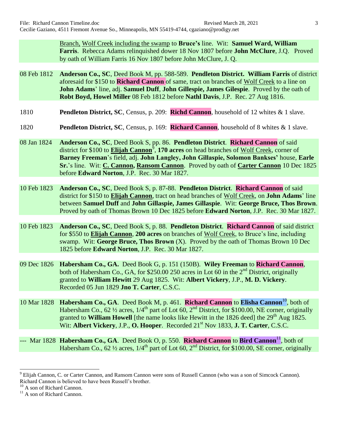Branch, Wolf Creek including the swamp to **Bruce's** line. Wit: **Samuel Ward, William Farris**. Rebecca Adams relinquished dower 18 Nov 1807 before **John McClure**, J.Q. Proved by oath of William Farris 16 Nov 1807 before John McClure, J. Q.

- 08 Feb 1812 **Anderson Co., SC**, Deed Book M, pp. 588-589. **Pendleton District. William Farris** of district aforesaid for \$150 to **Richard Cannon** of same, tract on branches of Wolf Creek to a line on **John Adams**' line, adj. **Samuel Duff**, **John Gillespie, James Gilespie**. Proved by the oath of **Robt Boyd, Howel Miller** 08 Feb 1812 before **Nathl Davis**, J.P. Rec. 27 Aug 1816.
- 1810 **Pendleton District, SC**, Census, p. 209: **Richd Cannon**, household of 12 whites & 1 slave.
- 1820 **Pendleton District, SC**, Census, p. 169: **Richard Cannon**, household of 8 whites & 1 slave.
- 08 Jan 1824 **Anderson Co., SC**, Deed Book S, pp. 86. **Pendleton District**. **Richard Cannon** of said district for \$100 to **Elijah Cannon**<sup>9</sup>, **170 acres** on head branches of Wolf Creek, corner of **Barney Freeman**'s field, adj. **John Langley, John Gillaspie, Solomon Bankses'** house, **Earle Sr.**'s line. Wit: **C. Cannon, Ransom Cannon**. Proved by oath of **Carter Cannon** 10 Dec 1825 before **Edward Norton**, J.P. Rec. 30 Mar 1827.
- 10 Feb 1823 **Anderson Co., SC**, Deed Book S, p. 87-88. **Pendleton District**. **Richard Cannon** of said district for \$150 to **Elijah Cannon**, tract on head branches of Wolf Creek, on **John Adams**' line between **Samuel Duff** and **John Gillaspie, James Gillaspie**. Wit: **George Bruce, Thos Brown**. Proved by oath of Thomas Brown 10 Dec 1825 before **Edward Norton**, J.P. Rec. 30 Mar 1827.
- 10 Feb 1823 **Anderson Co., SC**, Deed Book S, p. 88. **Pendleton District**. **Richard Cannon** of said district for \$550 to **Elijah Cannon**, **200 acres** on branches of Wolf Creek, to Bruce's line, including swamp. Wit: **George Bruce, Thos Brown** (X). Proved by the oath of Thomas Brown 10 Dec 1825 before **Edward Norton**, J.P. Rec. 30 Mar 1827.
- 09 Dec 1826 **Habersham Co., GA.** Deed Book G, p. 151 (150B). **Wiley Freeman** to **Richard Cannon**, both of Habersham Co., GA, for \$250.00 250 acres in Lot 60 in the  $2<sup>nd</sup>$  District, originally granted to **William Hewitt** 29 Aug 1825. Wit: **Albert Vickery**, J.P., **M. D. Vickery**. Recorded 05 Jun 1829 **Jno T. Carter**, C.S.C.
- 10 Mar 1828 **Habersham Co., GA**. Deed Book M, p. 461. **Richard Cannon** to **Elisha Cannon**<sup>10</sup> , both of Habersham Co.,  $62\frac{1}{2}$  acres,  $1/4^{\text{th}}$  part of Lot  $60$ ,  $2^{\text{nd}}$  District, for \$100.00, NE corner, originally granted to **William Howell** [the name looks like Hewitt in the 1826 deed] the 29<sup>th</sup> Aug 1825. Wit: **Albert Vickery**, J.P., **O. Hooper**. Recorded 21st Nov 1833, **J. T. Carter**, C.S.C.
- --- Mar 1828 Habersham Co., GA. Deed Book O, p. 550. Richard Cannon to Bird Cannon<sup>11</sup>, both of Habersham Co.,  $62\frac{1}{2}$  acres,  $1/4^{\text{th}}$  part of Lot  $60$ ,  $2^{\text{nd}}$  District, for \$100.00, SE corner, originally

<sup>&</sup>lt;sup>9</sup> Elijah Cannon, C. or Carter Cannon, and Ransom Cannon were sons of Russell Cannon (who was a son of Simcock Cannon). Richard Cannon is believed to have been Russell's brother.

<sup>&</sup>lt;sup>10</sup> A son of Richard Cannon.

<sup>&</sup>lt;sup>11</sup> A son of Richard Cannon.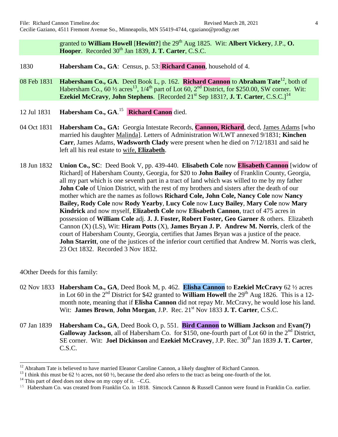granted to **William Howell** [Hewitt?] the 29<sup>th</sup> Aug 1825. Wit: **Albert Vickery**, J.P., **O. Hooper.** Recorded 30<sup>th</sup> Jan 1839, **J. T. Carter**, C.S.C.

- 1830 **Habersham Co., GA**: Census, p. 53: **Richard Canon**, household of 4.
- 08 Feb 1831 **Habersham Co., GA**. Deed Book L, p. 162. **Richard Cannon** to **Abraham Tate**<sup>12</sup> , both of Habersham Co.,  $60\frac{1}{2}$  acres<sup>13</sup>,  $1/4$ <sup>th</sup> part of Lot  $\overline{60}$ ,  $2^{nd}$  District, for \$250.00, SW corner. Wit: **Ezekiel McCravy, John Stephens.** [Recorded 21<sup>st</sup> Sep 1831?, **J. T. Carter**, C.S.C.]<sup>14</sup>
- 12 Jul 1831 **Habersham Co., GA**. 15 **Richard Canon** died.
- 04 Oct 1831 **Habersham Co., GA:** Georgia Intestate Records, **Cannon, Richard**, decd, James Adams [who married his daughter Malinda]. Letters of Administration W/LWT annexed 9/1831; **Kinchen Carr**, James Adams, **Wadsworth Clady** were present when he died on 7/12/1831 and said he left all his real estate to wife, **Elizabeth**.
- 18 Jun 1832 **Union Co., SC**: Deed Book V, pp. 439-440. **Elisabeth Cole** now **Elisabeth Cannon** [widow of Richard] of Habersham County, Georgia, for \$20 to **John Bailey** of Franklin County, Georgia, all my part which is one seventh part in a tract of land which was willed to me by my father **John Cole** of Union District, with the rest of my brothers and sisters after the death of our mother which are the names as follows **Richard Cole, John Cole, Nancy Cole** now **Nancy Bailey, Rody Cole** now **Rody Yearby**, **Lucy Cole** now **Lucy Bailey**, **Mary Cole** now **Mary Kindrick** and now myself, **Elizabeth Cole** now **Elisabeth Cannon**, tract of 475 acres in possession of **William Cole** adj. **J. J. Foster, Robert Foster, Geo Garner** & others. Elizabeth Cannon (X) (LS), Wit: **Hiram Potts** (X), **James Bryan J. P. Andrew M. Norris**, clerk of the court of Habersham County, Georgia, certifies that James Bryan was a justice of the peace. **John Starritt**, one of the justices of the inferior court certified that Andrew M. Norris was clerk, 23 Oct 1832. Recorded 3 Nov 1832.

4Other Deeds for this family:

- 02 Nov 1833 **Habersham Co., GA**, Deed Book M, p. 462. **Elisha Cannon** to **Ezekiel McCravy** 62 ½ acres in Lot 60 in the 2<sup>nd</sup> District for \$42 granted to **William Howell** the 29<sup>th</sup> Aug 1826. This is a 12month note, meaning that if **Elisha Cannon** did not repay Mr. McCravy, he would lose his land. Wit: **James Brown, John Morgan, J.P. Rec. 21<sup>st</sup> Nov 1833 <b>J. T. Carter**, C.S.C.
- 07 Jan 1839 **Habersham Co., GA**, Deed Book O, p. 551. **Bird Cannon to William Jackson** and **Evan(?)** Galloway Jackson, all of Habersham Co. for \$150, one-fourth part of Lot 60 in the 2<sup>nd</sup> District, SE corner. Wit: **Joel Dickinson** and **Ezekiel McCravey**, J.P. Rec. 30th Jan 1839 **J. T. Carter**, C.S.C.

 $12$  Abraham Tate is believed to have married Eleanor Caroline Cannon, a likely daughter of Richard Cannon.

<sup>&</sup>lt;sup>13</sup> I think this must be 62  $\frac{1}{2}$  acres, not 60  $\frac{1}{2}$ , because the deed also refers to the tract as being one-fourth of the lot.

 $14$  This part of deed does not show on my copy of it.  $-C.G.$ 

<sup>&</sup>lt;sup>15</sup> Habersham Co. was created from Franklin Co. in 1818. Simcock Cannon & Russell Cannon were found in Franklin Co. earlier.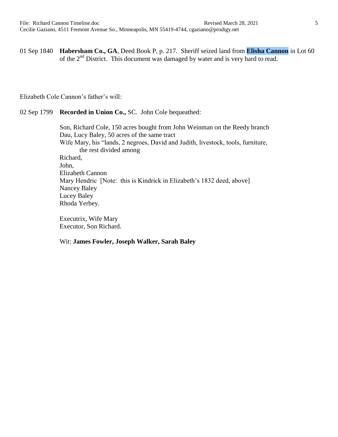01 Sep 1840 **Habersham Co., GA**, Deed Book P, p. 217. Sheriff seized land from **Elisha Cannon** in Lot 60 of the 2<sup>nd</sup> District. This document was damaged by water and is very hard to read.

Elizabeth Cole Cannon's father's will:

## 02 Sep 1799 **Recorded in Union Co.,** SC. John Cole bequeathed:

Son, Richard Cole, 150 acres bought from John Weinman on the Reedy branch Dau, Lucy Baley, 50 acres of the same tract Wife Mary, his "lands, 2 negroes, David and Judith, livestock, tools, furniture, the rest divided among Richard, John, Elizabeth Cannon Mary Hendric [Note: this is Kindrick in Elizabeth's 1832 deed, above] Nancey Baley Lucey Baley Rhoda Yerbey.

Executrix, Wife Mary Executor, Son Richard.

## Wit: **James Fowler, Joseph Walker, Sarah Baley**